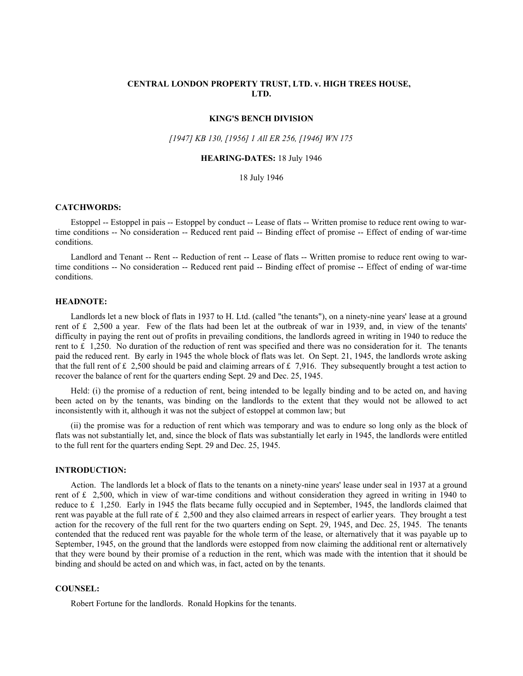# **CENTRAL LONDON PROPERTY TRUST, LTD. v. HIGH TREES HOUSE, LTD.**

#### **KING'S BENCH DIVISION**

### *[1947] KB 130, [1956] 1 All ER 256, [1946] WN 175*

### **HEARING-DATES:** 18 July 1946

### 18 July 1946

### **CATCHWORDS:**

Estoppel -- Estoppel in pais -- Estoppel by conduct -- Lease of flats -- Written promise to reduce rent owing to wartime conditions -- No consideration -- Reduced rent paid -- Binding effect of promise -- Effect of ending of war-time conditions.

Landlord and Tenant -- Rent -- Reduction of rent -- Lease of flats -- Written promise to reduce rent owing to wartime conditions -- No consideration -- Reduced rent paid -- Binding effect of promise -- Effect of ending of war-time conditions.

#### **HEADNOTE:**

Landlords let a new block of flats in 1937 to H. Ltd. (called "the tenants"), on a ninety-nine years' lease at a ground rent of £ 2,500 a year. Few of the flats had been let at the outbreak of war in 1939, and, in view of the tenants' difficulty in paying the rent out of profits in prevailing conditions, the landlords agreed in writing in 1940 to reduce the rent to  $£$  1,250. No duration of the reduction of rent was specified and there was no consideration for it. The tenants paid the reduced rent. By early in 1945 the whole block of flats was let. On Sept. 21, 1945, the landlords wrote asking that the full rent of £ 2,500 should be paid and claiming arrears of £ 7,916. They subsequently brought a test action to recover the balance of rent for the quarters ending Sept. 29 and Dec. 25, 1945.

Held: (i) the promise of a reduction of rent, being intended to be legally binding and to be acted on, and having been acted on by the tenants, was binding on the landlords to the extent that they would not be allowed to act inconsistently with it, although it was not the subject of estoppel at common law; but

(ii) the promise was for a reduction of rent which was temporary and was to endure so long only as the block of flats was not substantially let, and, since the block of flats was substantially let early in 1945, the landlords were entitled to the full rent for the quarters ending Sept. 29 and Dec. 25, 1945.

### **INTRODUCTION:**

Action. The landlords let a block of flats to the tenants on a ninety-nine years' lease under seal in 1937 at a ground rent of £ 2,500, which in view of war-time conditions and without consideration they agreed in writing in 1940 to reduce to £ 1,250. Early in 1945 the flats became fully occupied and in September, 1945, the landlords claimed that rent was payable at the full rate of  $\text{\pounds}$  2,500 and they also claimed arrears in respect of earlier years. They brought a test action for the recovery of the full rent for the two quarters ending on Sept. 29, 1945, and Dec. 25, 1945. The tenants contended that the reduced rent was payable for the whole term of the lease, or alternatively that it was payable up to September, 1945, on the ground that the landlords were estopped from now claiming the additional rent or alternatively that they were bound by their promise of a reduction in the rent, which was made with the intention that it should be binding and should be acted on and which was, in fact, acted on by the tenants.

### **COUNSEL:**

Robert Fortune for the landlords. Ronald Hopkins for the tenants.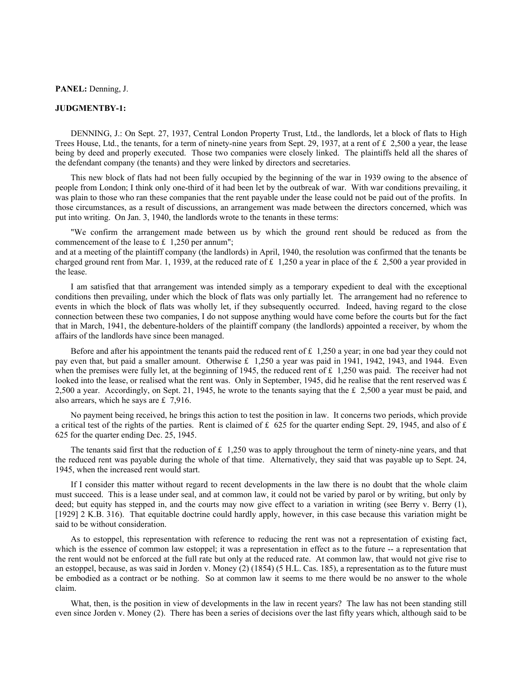### **PANEL:** Denning, J.

# **JUDGMENTBY-1:**

DENNING, J.: On Sept. 27, 1937, Central London Property Trust, Ltd., the landlords, let a block of flats to High Trees House, Ltd., the tenants, for a term of ninety-nine years from Sept. 29, 1937, at a rent of £ 2,500 a year, the lease being by deed and properly executed. Those two companies were closely linked. The plaintiffs held all the shares of the defendant company (the tenants) and they were linked by directors and secretaries.

This new block of flats had not been fully occupied by the beginning of the war in 1939 owing to the absence of people from London; I think only one-third of it had been let by the outbreak of war. With war conditions prevailing, it was plain to those who ran these companies that the rent payable under the lease could not be paid out of the profits. In those circumstances, as a result of discussions, an arrangement was made between the directors concerned, which was put into writing. On Jan. 3, 1940, the landlords wrote to the tenants in these terms:

"We confirm the arrangement made between us by which the ground rent should be reduced as from the commencement of the lease to £ 1,250 per annum";

and at a meeting of the plaintiff company (the landlords) in April, 1940, the resolution was confirmed that the tenants be charged ground rent from Mar. 1, 1939, at the reduced rate of £ 1,250 a year in place of the £ 2,500 a year provided in the lease.

I am satisfied that that arrangement was intended simply as a temporary expedient to deal with the exceptional conditions then prevailing, under which the block of flats was only partially let. The arrangement had no reference to events in which the block of flats was wholly let, if they subsequently occurred. Indeed, having regard to the close connection between these two companies, I do not suppose anything would have come before the courts but for the fact that in March, 1941, the debenture-holders of the plaintiff company (the landlords) appointed a receiver, by whom the affairs of the landlords have since been managed.

Before and after his appointment the tenants paid the reduced rent of  $\pounds$  1,250 a year; in one bad year they could not pay even that, but paid a smaller amount. Otherwise £ 1,250 a year was paid in 1941, 1942, 1943, and 1944. Even when the premises were fully let, at the beginning of 1945, the reduced rent of  $\pounds$  1,250 was paid. The receiver had not looked into the lease, or realised what the rent was. Only in September, 1945, did he realise that the rent reserved was  $\pounds$ 2,500 a year. Accordingly, on Sept. 21, 1945, he wrote to the tenants saying that the £ 2,500 a year must be paid, and also arrears, which he says are £ 7,916.

No payment being received, he brings this action to test the position in law. It concerns two periods, which provide a critical test of the rights of the parties. Rent is claimed of £ 625 for the quarter ending Sept. 29, 1945, and also of £ 625 for the quarter ending Dec. 25, 1945.

The tenants said first that the reduction of  $\pounds$  1,250 was to apply throughout the term of ninety-nine years, and that the reduced rent was payable during the whole of that time. Alternatively, they said that was payable up to Sept. 24, 1945, when the increased rent would start.

If I consider this matter without regard to recent developments in the law there is no doubt that the whole claim must succeed. This is a lease under seal, and at common law, it could not be varied by parol or by writing, but only by deed; but equity has stepped in, and the courts may now give effect to a variation in writing (see Berry v. Berry (1), [1929] 2 K.B. 316). That equitable doctrine could hardly apply, however, in this case because this variation might be said to be without consideration.

As to estoppel, this representation with reference to reducing the rent was not a representation of existing fact, which is the essence of common law estoppel; it was a representation in effect as to the future -- a representation that the rent would not be enforced at the full rate but only at the reduced rate. At common law, that would not give rise to an estoppel, because, as was said in Jorden v. Money (2) (1854) (5 H.L. Cas. 185), a representation as to the future must be embodied as a contract or be nothing. So at common law it seems to me there would be no answer to the whole claim.

What, then, is the position in view of developments in the law in recent years? The law has not been standing still even since Jorden v. Money (2). There has been a series of decisions over the last fifty years which, although said to be